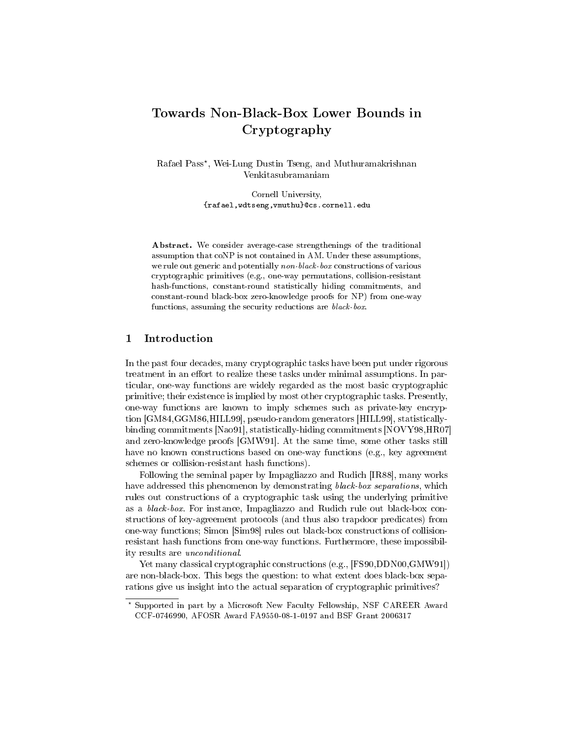# Towards Non-Black-Box Lower Bounds in Cryptography

Rafael Pass? , Wei-Lung Dustin Tseng, and Muthuramakrishnan Venkitasubramaniam

> Cornell University, {rafael,wdtseng,vmuthu}@cs.cornell.edu

Abstract. We consider average-case strengthenings of the traditional assumption that coNP is not contained in AM. Under these assumptions, we rule out generic and potentially non-black-box constructions of various cryptographic primitives (e.g., one-way permutations, collision-resistant hash-functions, constant-round statistically hiding commitments, and constant-round black-box zero-knowledge proofs for NP) from one-way functions, assuming the security reductions are black-box.

# 1 Introduction

In the past four decades, many cryptographic tasks have been put under rigorous treatment in an effort to realize these tasks under minimal assumptions. In particular, one-way functions are widely regarded as the most basic cryptographic primitive; their existence is implied by most other cryptographic tasks. Presently, one-way functions are known to imply schemes such as private-key encryption [GM84,GGM86,HILL99], pseudo-random generators [HILL99], statisticallybinding commitments [Nao91], statistically-hiding commitments [NOVY98,HR07] and zero-knowledge proofs [GMW91]. At the same time, some other tasks still have no known constructions based on one-way functions (e.g., key agreement schemes or collision-resistant hash functions).

Following the seminal paper by Impagliazzo and Rudich [IR88], many works have addressed this phenomenon by demonstrating black-box separations, which rules out constructions of a cryptographic task using the underlying primitive as a black-box. For instance, Impagliazzo and Rudich rule out black-box constructions of key-agreement protocols (and thus also trapdoor predicates) from one-way functions; Simon [Sim98] rules out black-box constructions of collisionresistant hash functions from one-way functions. Furthermore, these impossibility results are unconditional.

Yet many classical cryptographic constructions (e.g., [FS90,DDN00,GMW91]) are non-black-box. This begs the question: to what extent does black-box separations give us insight into the actual separation of cryptographic primitives?

<sup>?</sup> Supported in part by a Microsoft New Faculty Fellowship, NSF CAREER Award CCF-0746990, AFOSR Award FA9550-08-1-0197 and BSF Grant 2006317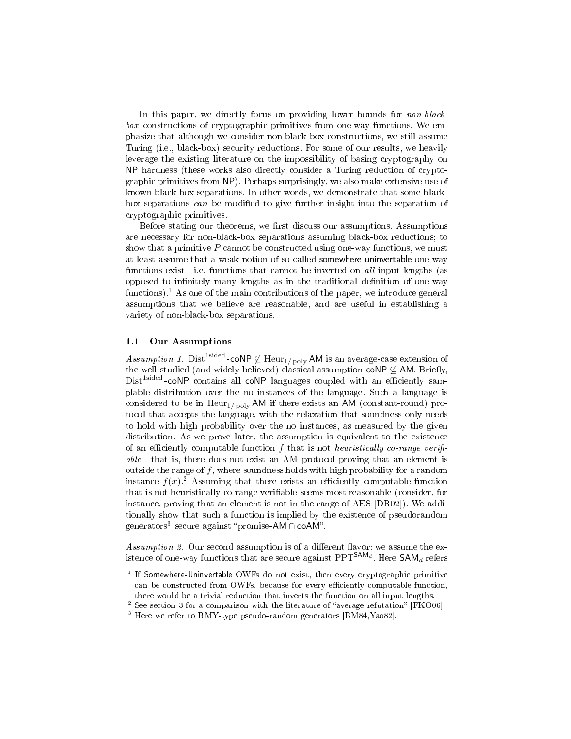In this paper, we directly focus on providing lower bounds for *non-black*box constructions of cryptographic primitives from one-way functions. We emphasize that although we consider non-black-box constructions, we still assume Turing (i.e., black-box) security reductions. For some of our results, we heavily leverage the existing literature on the impossibility of basing cryptography on NP hardness (these works also directly consider a Turing reduction of cryptographic primitives from NP). Perhaps surprisingly, we also make extensive use of known black-box separations. In other words, we demonstrate that some blackbox separations can be modified to give further insight into the separation of cryptographic primitives.

Before stating our theorems, we first discuss our assumptions. Assumptions are necessary for non-black-box separations assuming black-box reductions; to show that a primitive  $P$  cannot be constructed using one-way functions, we must at least assume that a weak notion of so-called somewhere-uninvertable one-way functions exist—i.e. functions that cannot be inverted on all input lengths (as opposed to infinitely many lengths as in the traditional definition of one-way functions).<sup>1</sup> As one of the main contributions of the paper, we introduce general assumptions that we believe are reasonable, and are useful in establishing a variety of non-black-box separations.

## 1.1 Our Assumptions

Assumption 1. Dist<sup>1sided</sup> -coNP  $\not\subseteq$  Heur<sub>1/poly</sub> AM is an average-case extension of the well-studied (and widely believed) classical assumption coNP  $\not\subseteq$  AM. Briefly,  $Dist<sup>1sided</sup>$  coNP contains all coNP languages coupled with an efficiently samplable distribution over the no instances of the language. Such a language is considered to be in  $Heur_{1/_{\text{poly}}}$  AM if there exists an AM (constant-round) protocol that accepts the language, with the relaxation that soundness only needs to hold with high probability over the no instances, as measured by the given distribution. As we prove later, the assumption is equivalent to the existence of an efficiently computable function f that is not *heuristically co-range verifi* $able$ —that is, there does not exist an AM protocol proving that an element is outside the range of f, where soundness holds with high probability for a random instance  $f(x)$ .<sup>2</sup> Assuming that there exists an efficiently computable function that is not heuristically co-range veriable seems most reasonable (consider, for instance, proving that an element is not in the range of AES [DR02]). We additionally show that such a function is implied by the existence of pseudorandom generators<sup>3</sup> secure against "promise-AM ∩ coAM".

Assumption 2. Our second assumption is of a different flavor: we assume the existence of one-way functions that are secure against  $\operatorname{PPT}^{\mathsf{SAM}_d}.$  Here  $\mathsf{SAM}_d$  refers

<sup>&</sup>lt;sup>1</sup> If Somewhere-Uninvertable OWFs do not exist, then every cryptographic primitive can be constructed from OWFs, because for every efficiently computable function, there would be a trivial reduction that inverts the function on all input lengths.

 $2$  See section 3 for a comparison with the literature of "average refutation" [FKO06].

<sup>3</sup> Here we refer to BMY-type pseudo-random generators [BM84,Yao82].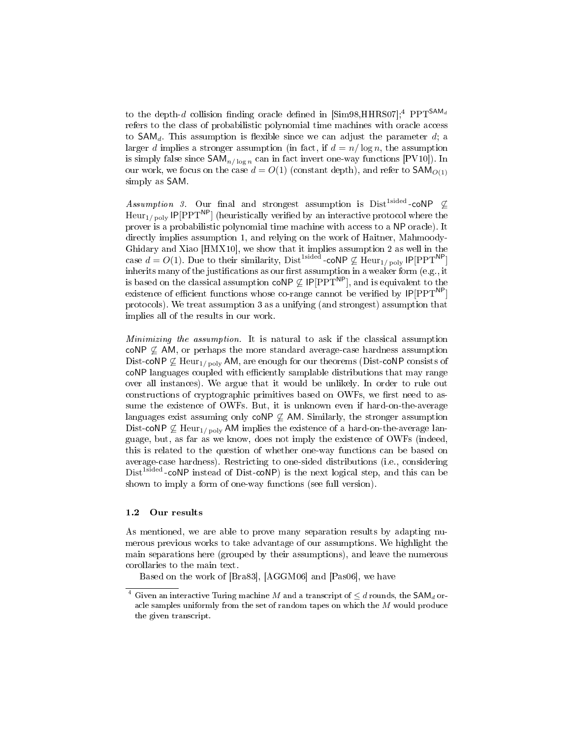to the depth-d collision finding oracle defined in  $\text{[Sim98,HHRS07]}$ ;<sup>4</sup> PPT<sup>SAM<sub>d</sub></sup> refers to the class of probabilistic polynomial time machines with oracle access to  $SAM_d$ . This assumption is flexible since we can adjust the parameter d; a larger d implies a stronger assumption (in fact, if  $d = n/\log n$ , the assumption is simply false since  $\textsf{SAM}_{n/\log n}$  can in fact invert one-way functions [PV10]). In our work, we focus on the case  $d = O(1)$  (constant depth), and refer to  $SAM_{O(1)}$ simply as SAM.

Assumption 3. Our final and strongest assumption is  $Dist<sup>1side</sup> - coNP \nsubseteq$ Heur<sub>1/poly</sub>  $IP[PT^{NP}]$  (heuristically verified by an interactive protocol where the prover is a probabilistic polynomial time machine with access to a NP oracle). It directly implies assumption 1, and relying on the work of Haitner, Mahmoody-Ghidary and Xiao [HMX10], we show that it implies assumption 2 as well in the case  $d = O(1)$ . Due to their similarity, Dist<sup>1sided</sup> -coNP  $\nsubseteq$  Heur<sub>1/poly</sub>  $\text{IP[PPT}^{\text{NP}}]$ inherits many of the justifications as our first assumption in a weaker form (e.g., it is based on the classical assumption coNP  $\&$  IP[PPT<sup>NP</sup>], and is equivalent to the existence of efficient functions whose co-range cannot be verified by  $\text{IP[PPT}^{\text{NP}}]$ protocols). We treat assumption 3 as a unifying (and strongest) assumption that implies all of the results in our work.

Minimizing the assumption. It is natural to ask if the classical assumption coNP  $\varphi$  AM, or perhaps the more standard average-case hardness assumption Dist-coNP  $\not\subseteq$  Heur<sub>1/ poly</sub> AM, are enough for our theorems (Dist-coNP consists of coNP languages coupled with efficiently samplable distributions that may range over all instances). We argue that it would be unlikely. In order to rule out constructions of cryptographic primitives based on OWFs, we first need to assume the existence of OWFs. But, it is unknown even if hard-on-the-average languages exist assuming only coNP  $\nsubseteq$  AM. Similarly, the stronger assumption Dist-coNP  $\nsubseteq$  Heur<sub>1/ poly</sub> AM implies the existence of a hard-on-the-average language, but, as far as we know, does not imply the existence of OWFs (indeed, this is related to the question of whether one-way functions can be based on average-case hardness). Restricting to one-sided distributions (i.e., considering  $Dist<sup>1sided</sup>$  -coNP instead of Dist-coNP) is the next logical step, and this can be shown to imply a form of one-way functions (see full version).

#### 1.2 Our results

As mentioned, we are able to prove many separation results by adapting numerous previous works to take advantage of our assumptions. We highlight the main separations here (grouped by their assumptions), and leave the numerous corollaries to the main text.

Based on the work of [Bra83], [AGGM06] and [Pas06], we have

Given an interactive Turing machine M and a transcript of  $\leq d$  rounds, the SAM<sub>d</sub> oracle samples uniformly from the set of random tapes on which the M would produce the given transcript.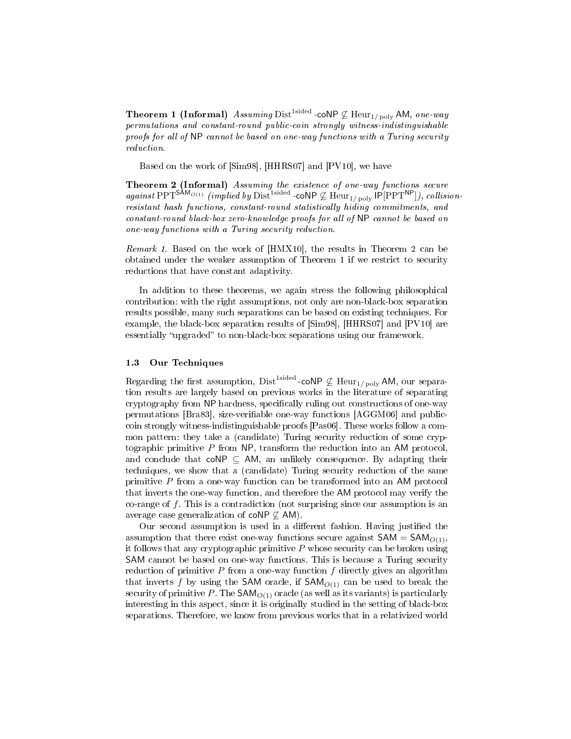$\bf Theorem~1~(Informal)~$   $Assuming~Dist^{1sided}$  -coNP  $\not\subseteq \text{Heur}_{1/\operatorname{poly}}$  AM, one-way permutations and constant-round public-coin strongly witness-indistinguishable proofs for all of NP cannot be based on one-way functions with a Turing security reduction.

Based on the work of [Sim98], [HHRS07] and [PV10], we have

Theorem 2 (Informal) Assuming the existence of one-way functions secure against PPT<sup>SAM</sup><sup> $O(1)$ </sup> (implied by Dist<sup>1sided</sup> -coNP  $\nsubseteq$  Heur<sub>1/ poly</sub> IP[PPT<sup>NP</sup>]), collisionresistant hash functions, constant-round statistically hiding commitments, and constant-round black-box zero-knowledge proofs for all of NP cannot be based on one-way functions with a Turing security reduction.

Remark 1. Based on the work of [HMX10], the results in Theorem 2 can be obtained under the weaker assumption of Theorem 1 if we restrict to security reductions that have constant adaptivity.

In addition to these theorems, we again stress the following philosophical contribution: with the right assumptions, not only are non-black-box separation results possible, many such separations can be based on existing techniques. For example, the black-box separation results of [Sim98], [HHRS07] and [PV10] are essentially "upgraded" to non-black-box separations using our framework.

#### 1.3 Our Techniques

Regarding the first assumption, Dist<sup>1sided</sup> -coNP  $\not\subseteq$  Heur<sub>1/poly</sub> AM, our separation results are largely based on previous works in the literature of separating cryptography from NP hardness, specifically ruling out constructions of one-way permutations [Bra83], size-verifiable one-way functions [AGGM06] and publiccoin strongly witness-indistinguishable proofs [Pas06]. These works follow a common pattern: they take a (candidate) Turing security reduction of some cryptographic primitive  $P$  from NP, transform the reduction into an AM protocol, and conclude that  $coNP \subseteq AM$ , an unlikely consequence. By adapting their techniques, we show that a (candidate) Turing security reduction of the same primitive P from a one-way function can be transformed into an AM protocol that inverts the one-way function, and therefore the AM protocol may verify the co-range of f. This is a contradiction (not surprising since our assumption is an average case generalization of  $coNP \not\subseteq AM$ ).

Our second assumption is used in a different fashion. Having justified the assumption that there exist one-way functions secure against  $SAM = SAM<sub>O(1)</sub>$ , it follows that any cryptographic primitive  $P$  whose security can be broken using SAM cannot be based on one-way functions. This is because a Turing security reduction of primitive P from a one-way function f directly gives an algorithm that inverts f by using the SAM oracle, if  $SAM<sub>O(1)</sub>$  can be used to break the security of primitive P. The  $SAM_{O(1)}$  oracle (as well as its variants) is particularly interesting in this aspect, since it is originally studied in the setting of black-box separations. Therefore, we know from previous works that in a relativized world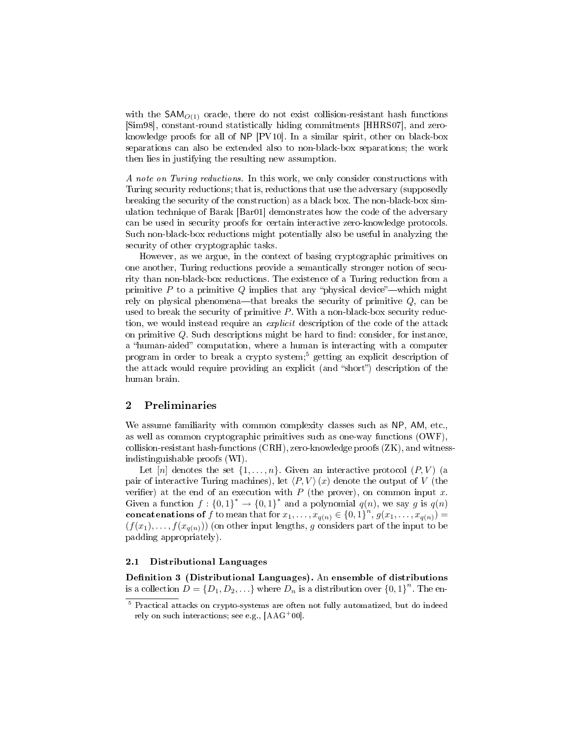with the  $SAM<sub>O(1)</sub>$  oracle, there do not exist collision-resistant hash functions [Sim98], constant-round statistically hiding commitments [HHRS07], and zeroknowledge proofs for all of NP [PV10]. In a similar spirit, other on black-box separations can also be extended also to non-black-box separations; the work then lies in justifying the resulting new assumption.

A note on Turing reductions. In this work, we only consider constructions with Turing security reductions; that is, reductions that use the adversary (supposedly breaking the security of the construction) as a black box. The non-black-box simulation technique of Barak [Bar01] demonstrates how the code of the adversary can be used in security proofs for certain interactive zero-knowledge protocols. Such non-black-box reductions might potentially also be useful in analyzing the security of other cryptographic tasks.

However, as we argue, in the context of basing cryptographic primitives on one another, Turing reductions provide a semantically stronger notion of security than non-black-box reductions. The existence of a Turing reduction from a primitive  $P$  to a primitive  $Q$  implies that any "physical device"—which might rely on physical phenomena—that breaks the security of primitive  $Q$ , can be used to break the security of primitive P. With a non-black-box security reduction, we would instead require an *explicit* description of the code of the attack on primitive  $Q$ . Such descriptions might be hard to find: consider, for instance, a "human-aided" computation, where a human is interacting with a computer program in order to break a crypto system;<sup>5</sup> getting an explicit description of the attack would require providing an explicit (and "short") description of the human brain.

# 2 Preliminaries

We assume familiarity with common complexity classes such as NP, AM, etc., as well as common cryptographic primitives such as one-way functions (OWF), collision-resistant hash-functions (CRH), zero-knowledge proofs (ZK), and witnessindistinguishable proofs (WI).

Let  $[n]$  denotes the set  $\{1, \ldots, n\}$ . Given an interactive protocol  $(P, V)$  (a pair of interactive Turing machines), let  $\langle P, V \rangle (x)$  denote the output of V (the verifier) at the end of an execution with  $P$  (the prover), on common input  $x$ . Given a function  $f: \{0,1\}^* \to \{0,1\}^*$  and a polynomial  $q(n)$ , we say g is  $q(n)$ concatenations of f to mean that for  $x_1, \ldots, x_{q(n)} \in \{0,1\}^n, g(x_1, \ldots, x_{q(n)}) =$  $(f(x_1), \ldots, f(x_{q(n)}))$  (on other input lengths, g considers part of the input to be padding appropriately).

## 2.1 Distributional Languages

Definition 3 (Distributional Languages). An ensemble of distributions is a collection  $D = \{D_1, D_2, \ldots\}$  where  $D_n$  is a distribution over  $\{0, 1\}^n$ . The en-

<sup>5</sup> Practical attacks on crypto-systems are often not fully automatized, but do indeed rely on such interactions; see e.g.,  $[AAG^+00]$ .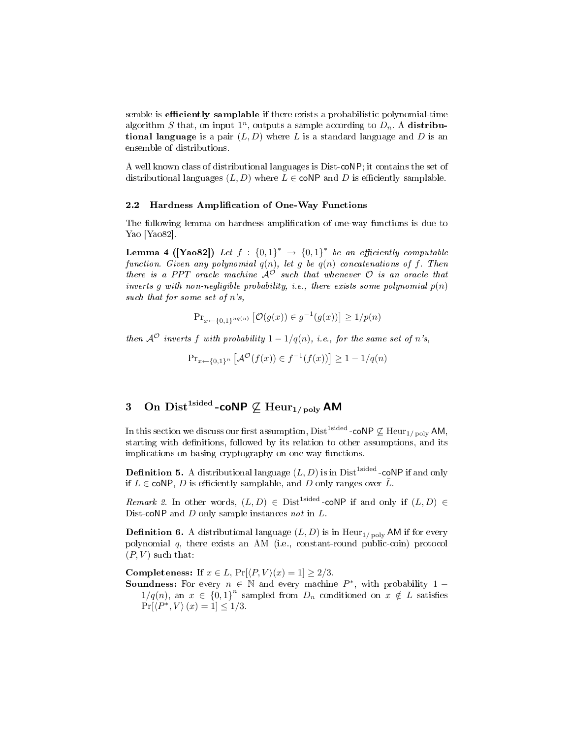semble is efficiently samplable if there exists a probabilistic polynomial-time algorithm S that, on input  $1^n$ , outputs a sample according to  $D_n$ . A distributional language is a pair  $(L, D)$  where L is a standard language and D is an ensemble of distributions.

A well known class of distributional languages is Dist-coNP; it contains the set of distributional languages  $(L, D)$  where  $L \in \text{coNP}$  and D is efficiently samplable.

#### 2.2 Hardness Amplification of One-Way Functions

The following lemma on hardness amplication of one-way functions is due to Yao [Yao82].

**Lemma 4 ([Yao82])** Let  $f : \{0,1\}^* \rightarrow \{0,1\}^*$  be an efficiently computable function. Given any polynomial  $q(n)$ , let g be  $q(n)$  concatenations of f. Then there is a PPT oracle machine  $A^{\circ}$  such that whenever  $\circ$  is an oracle that inverts q with non-negligible probability, i.e., there exists some polynomial  $p(n)$ such that for some set of  $n's$ ,

$$
\Pr_{x \leftarrow \{0,1\}^{nq(n)}} \left[ \mathcal{O}(g(x)) \in g^{-1}(g(x)) \right] \ge 1/p(n)
$$

then  $\mathcal{A}^{\mathcal{O}}$  inverts f with probability  $1 - 1/q(n)$ , i.e., for the same set of n's,

$$
\Pr_{x \leftarrow \{0,1\}^n} \left[ \mathcal{A}^{\mathcal{O}}(f(x)) \in f^{-1}(f(x)) \right] \ge 1 - 1/q(n)
$$

# 3 On  $\mathrm{Dist}^{\mathrm{1sided}}$  -coNP  $\not\subseteq \mathrm{Heur}_{\mathrm{1/poly}}$  AM

In this section we discuss our first assumption,  $\text{Dist}^{\text{1sided}}$  -coNP  $\not\subseteq \text{Heur}_{1/\operatorname{poly}}$  AM, starting with definitions, followed by its relation to other assumptions, and its implications on basing cryptography on one-way functions.

**Definition 5.** A distributional language  $(L, D)$  is in Dist<sup>1sided</sup> -coNP if and only if  $L \in \text{coNP}$ , D is efficiently samplable, and D only ranges over  $\bar{L}$ .

Remark 2. In other words,  $(L, D) \in$  Dist<sup>1sided</sup> -coNP if and only if  $(L, D) \in$ Dist-coNP and  $D$  only sample instances not in  $L$ .

**Definition 6.** A distributional language  $(L, D)$  is in  $\text{Heur}_{1/\text{poly}}$  AM if for every polynomial q, there exists an AM (i.e., constant-round public-coin) protocol  $(P, V)$  such that:

Completeness: If  $x \in L$ ,  $Pr(\langle P, V \rangle)(x) = 1] \geq 2/3$ .

**Soundness:** For every  $n \in \mathbb{N}$  and every machine  $P^*$ , with probability 1 –  $1/q(n)$ , an  $x \in \{0,1\}^n$  sampled from  $D_n$  conditioned on  $x \notin L$  satisfies  $Pr[\langle P^*, V \rangle(x) = 1] \leq 1/3.$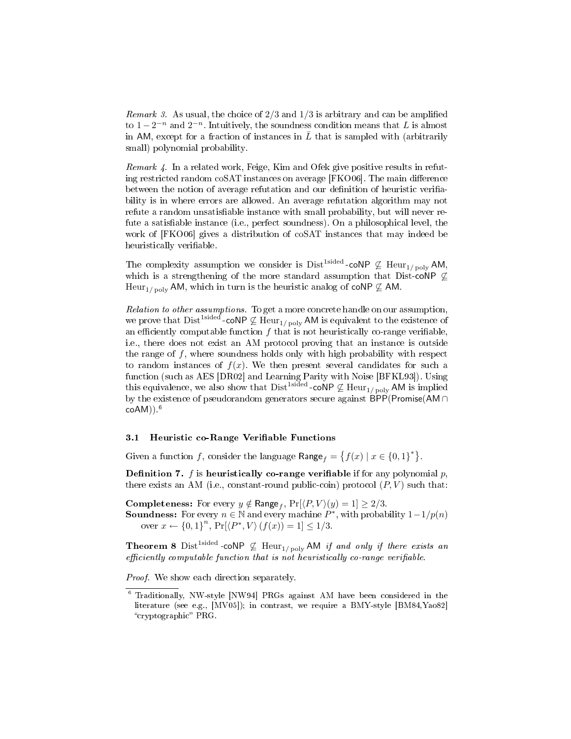*Remark 3.* As usual, the choice of  $2/3$  and  $1/3$  is arbitrary and can be amplified to  $1-2^{-n}$  and  $2^{-n}$ . Intuitively, the soundness condition means that L is almost in AM, except for a fraction of instances in  $\overline{L}$  that is sampled with (arbitrarily small) polynomial probability.

Remark 4. In a related work, Feige, Kim and Ofek give positive results in refuting restricted random  $\cos A T$  instances on average [FKO06]. The main difference between the notion of average refutation and our denition of heuristic veriability is in where errors are allowed. An average refutation algorithm may not refute a random unsatisfiable instance with small probability, but will never refute a satisfiable instance (i.e., perfect soundness). On a philosophical level, the work of [FKO06] gives a distribution of coSAT instances that may indeed be heuristically verifiable.

The complexity assumption we consider is Dist<sup>1sided</sup> -coNP  $\varphi$  Heur<sub>1/poly</sub> AM, which is a strengthening of the more standard assumption that Dist-coNP  $\nsubseteq$ Heur<sub>1/ poly</sub> AM, which in turn is the heuristic analog of coNP  $\nsubseteq$  AM.

Relation to other assumptions. To get a more concrete handle on our assumption, we prove that  $Dist^{1\text{sided}}$  -coNP  $\nsubseteq$   $Heur_{1/poly}$  AM is equivalent to the existence of an efficiently computable function  $f$  that is not heuristically co-range verifiable. i.e., there does not exist an AM protocol proving that an instance is outside the range of f, where soundness holds only with high probability with respect to random instances of  $f(x)$ . We then present several candidates for such a function (such as AES [DR02] and Learning Parity with Noise [BFKL93]). Using this equivalence, we also show that  $Dist^{1\text{side}}$  -coNP  $\mathcal{Q}$  Heur<sub>1/poly</sub> AM is implied by the existence of pseudorandom generators secure against BPP(Promise(AM ∩  $coAM)$ <sup>6</sup>

#### 3.1 Heuristic co-Range Verifiable Functions

Given a function f, consider the language  $\mathsf{Range}_f = \{f(x) | x \in \{0,1\}^*\}.$ 

**Definition 7.** f is heuristically co-range verifiable if for any polynomial  $p$ , there exists an AM (i.e., constant-round public-coin) protocol  $(P, V)$  such that:

**Completeness:** For every  $y \notin \text{Range}_f$ ,  $\Pr[\langle P, V \rangle(y) = 1] \geq 2/3$ . **Soundness:** For every  $n \in \mathbb{N}$  and every machine  $P^*$ , with probability  $1-1/p(n)$ over  $x \leftarrow \{0,1\}^n$ ,  $Pr[\langle P^*, V \rangle (f(x)) = 1] \leq 1/3$ .

Theorem 8 Dist<sup>1sided</sup> -coNP  $\varphi$  Heur<sub>1/ poly</sub> AM if and only if there exists an  $efficiently\ computable\ function\ that\ is\ not\ heuristically\ co-range\ verifiable.$ 

Proof. We show each direction separately.

<sup>6</sup> Traditionally, NW-style [NW94] PRGs against AM have been considered in the literature (see e.g., [MV05]); in contrast, we require a BMY-style [BM84,Yao82] "cryptographic" PRG.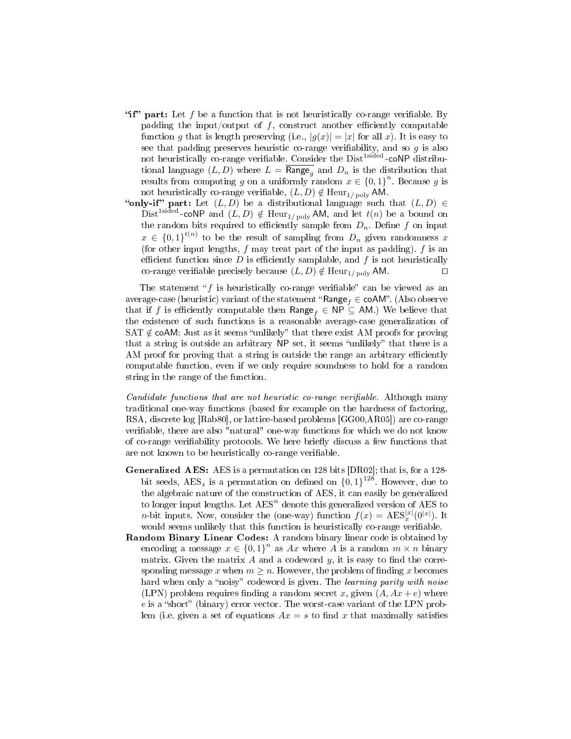- **if part:** Let f be a function that is not heuristically co-range verifiable. By padding the input/output of  $f$ , construct another efficiently computable function g that is length preserving (i.e.,  $|g(x)| = |x|$  for all x). It is easy to see that padding preserves heuristic co-range verifiability, and so  $g$  is also not heuristically co-range verifiable. Consider the Dist<sup>1sided</sup> -coNP distributional language  $(L, D)$  where  $L = \overline{\text{Range}_q}$  and  $D_n$  is the distribution that results from computing g on a uniformly random  $x \in \{0,1\}^n$ . Because g is not heuristically co-range verifiable,  $(L, D) \notin \text{Heur}_{1/\text{poly}}$  AM.
- "only-if" part: Let  $(L, D)$  be a distributional language such that  $(L, D) \in$ Dist<sup>1sided</sup> -coNP and  $(L, D) \notin \text{Heur}_{1/\text{poly}}$  AM, and let  $t(n)$  be a bound on the random bits required to efficiently sample from  $D_n$ . Define f on input  $x \in \{0,1\}^{t(n)}$  to be the result of sampling from  $D_n$  given randomness x (for other input lengths,  $f$  may treat part of the input as padding).  $f$  is an efficient function since  $D$  is efficiently samplable, and  $f$  is not heuristically co-range verifiable precisely because  $(L, D) \notin \text{Heur}_{1/\text{poly}}$  AM.

The statement " $f$  is heuristically co-range verifiable" can be viewed as an average-case (heuristic) variant of the statement "Range $_f \in \text{coAM}$ ". (Also observe that if f is efficiently computable then Range<sub>f</sub>  $\in$  NP  $\subseteq$  AM.) We believe that the existence of such functions is a reasonable average-case generalization of SAT  $\notin$  coAM: Just as it seems "unlikely" that there exist AM proofs for proving that a string is outside an arbitrary NP set, it seems "unlikely" that there is a AM proof for proving that a string is outside the range an arbitrary efficiently computable function, even if we only require soundness to hold for a random string in the range of the function.

Candidate functions that are not heuristic co-range verifiable. Although many traditional one-way functions (based for example on the hardness of factoring, RSA, discrete log [Rab80], or lattice-based problems [GG00,AR05]) are co-range verifiable, there are also "natural" one-way functions for which we do not know of co-range verifiability protocols. We here briefly discuss a few functions that are not known to be heuristically co-range verifiable.

- Generalized AES: AES is a permutation on 128 bits [DR02]; that is, for a 128 bit seeds, AES<sub>s</sub> is a permutation on defined on  $\{0,1\}^{128}$ . However, due to the algebraic nature of the construction of AES, it can easily be generalized to longer input lengths. Let  $\text{AES}^n$  denote this generalized version of AES to *n*-bit inputs. Now, consider the (one-way) function  $f(x) = \text{AES}^{|x|}_x(0^{|x|})$ . It would seems unlikely that this function is heuristically co-range verifiable.
- Random Binary Linear Codes: A random binary linear code is obtained by encoding a message  $x \in \{0,1\}^n$  as Ax where A is a random  $m \times n$  binary matrix. Given the matrix  $A$  and a codeword  $y$ , it is easy to find the corresponding message x when  $m \geq n$ . However, the problem of finding x becomes hard when only a "noisy" codeword is given. The learning parity with noise (LPN) problem requires finding a random secret x, given  $(A, Ax + e)$  where  $e$  is a "short" (binary) error vector. The worst-case variant of the LPN problem (i.e. given a set of equations  $Ax = s$  to find x that maximally satisfies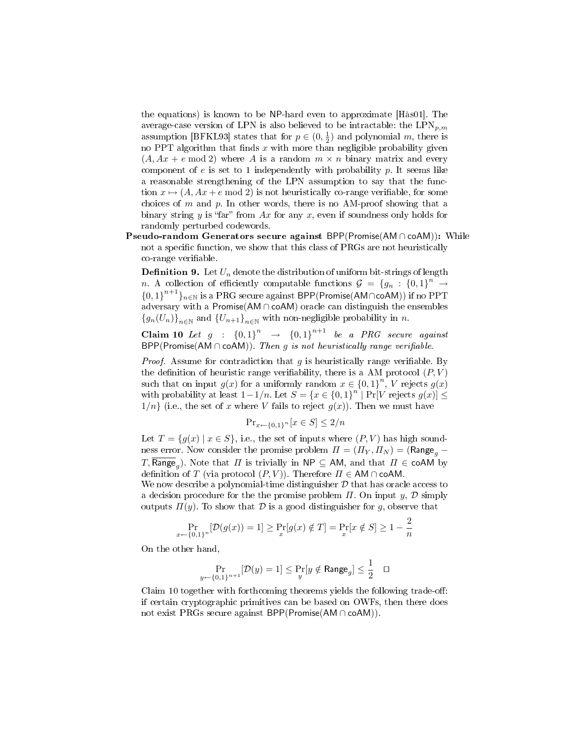the equations) is known to be NP-hard even to approximate [Hås01]. The average-case version of LPN is also believed to be intractable: the  $\text{LPN}_{p,m}$ assumption [BFKL93] states that for  $p \in (0, \frac{1}{2})$  and polynomial m, there is no PPT algorithm that finds  $x$  with more than negligible probability given  $(A, Ax + e \mod 2)$  where A is a random  $m \times n$  binary matrix and every component of  $e$  is set to 1 independently with probability  $p$ . It seems like a reasonable strengthening of the LPN assumption to say that the function  $x \mapsto (A, Ax + e \mod 2)$  is not heuristically co-range verifiable, for some choices of m and p. In other words, there is no AM-proof showing that a binary string y is "far" from  $Ax$  for any x, even if soundness only holds for randomly perturbed codewords.

Pseudo-random Generators secure against BPP(Promise(AM ∩ coAM)): While not a specific function, we show that this class of PRGs are not heuristically co-range verifiable.

**Definition 9.** Let  $U_n$  denote the distribution of uniform bit-strings of length n. A collection of efficiently computable functions  $\mathcal{G} = \{g_n : \{0,1\}^n \rightarrow$  ${0,1}^{n+1}$ <sub>n∈N</sub> is a PRG secure against BPP(Promise(AM∩coAM)) if no PPT adversary with a Promise(AM ∩ coAM) oracle can distinguish the ensembles  ${g_n(U_n)}_{n\in\mathbb{N}}$  and  ${U_{n+1}}_{n\in\mathbb{N}}$  with non-negligible probability in n.

**Claim 10** Let  $g : \{0,1\}^n \rightarrow \{0,1\}^{n+1}$  be a PRG secure against BPP(Promise(AM  $\cap$  coAM)). Then g is not heuristically range verifiable.

*Proof.* Assume for contradiction that q is heuristically range verifiable. By the definition of heuristic range verifiability, there is a AM protocol  $(P, V)$ such that on input  $g(x)$  for a uniformly random  $x \in \{0,1\}^n$ , V rejects  $g(x)$ with probability at least  $1-1/n$ . Let  $S = \{x \in \{0,1\}^n \mid \Pr[V \text{ rejects } g(x)] \leq$  $1/n$  (i.e., the set of x where V fails to reject  $g(x)$ ). Then we must have

$$
\Pr_{x \leftarrow \{0,1\}^n} [x \in S] \le 2/n
$$

Let  $T = \{g(x) | x \in S\}$ , i.e., the set of inputs where  $(P, V)$  has high soundness error. Now consider the promise problem  $\Pi = (I_V, \Pi_N) = (R$ ange<sub>a</sub> – T,  $\mathsf{Range}_g$ ). Note that  $\Pi$  is trivially in  $\mathsf{NP} \subseteq \mathsf{AM},$  and that  $\Pi \in \mathsf{coAM}$  by definition of T (via protocol  $(P, V)$ ). Therefore  $\Pi \in AM \cap coAM$ .

We now describe a polynomial-time distinguisher  $D$  that has oracle access to a decision procedure for the the promise problem  $\Pi$ . On input y,  $\mathcal D$  simply outputs  $\Pi(y)$ . To show that  $\mathcal D$  is a good distinguisher for g, observe that

$$
\Pr_{x \leftarrow \{0,1\}^n}[\mathcal{D}(g(x)) = 1] \ge \Pr_x[g(x) \notin T] = \Pr_x[x \notin S] \ge 1 - \frac{2}{n}
$$

On the other hand,

$$
\Pr_{y \leftarrow \{0,1\}^{n+1}}[\mathcal{D}(y) = 1] \le \Pr_y[y \notin \mathsf{Range}_g] \le \frac{1}{2} \quad \Box
$$

Claim 10 together with forthcoming theorems yields the following trade-off: if certain cryptographic primitives can be based on OWFs, then there does not exist PRGs secure against BPP(Promise(AM ∩ coAM)).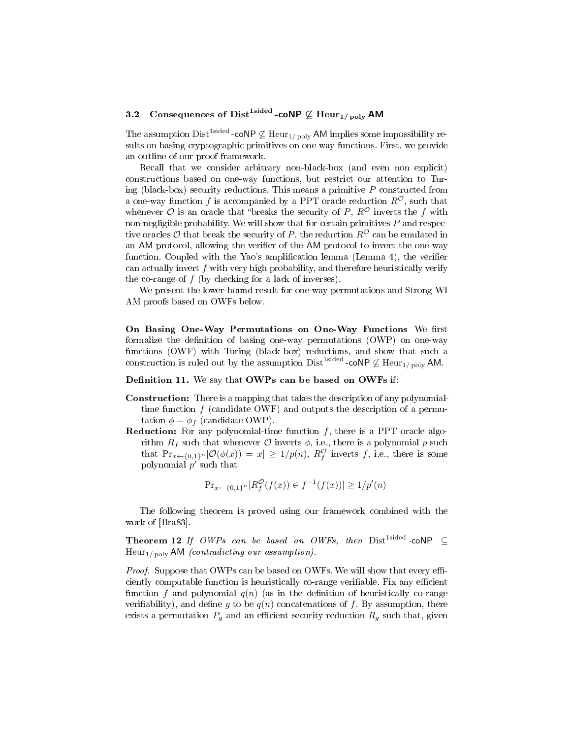# 3.2 Consequences of Dist $^{1\text{sided}}$  -coNP  $\not\subseteq \text{Heur}_{1/\operatorname{poly}}$  AM

The assumption Dist $^{1\text{sided}}$  -coNP  $\not\subseteq \text{Heur}_{1/\text{poly}}$  AM implies some impossibility results on basing cryptographic primitives on one-way functions. First, we provide an outline of our proof framework.

Recall that we consider arbitrary non-black-box (and even non explicit) constructions based on one-way functions, but restrict our attention to Turing (black-box) security reductions. This means a primitive  $P$  constructed from a one-way function f is accompanied by a PPT oracle reduction  $R^{\mathcal{O}}$ , such that whenever  $\hat{O}$  is an oracle that "breaks the security of P,  $R^{\hat{O}}$  inverts the f with non-negligible probability. We will show that for certain primitives  $P$  and respective oracles O that break the security of P, the reduction  $R^{\mathcal{O}}$  can be emulated in an AM protocol, allowing the verifier of the AM protocol to invert the one-way function. Coupled with the Yao's amplification lemma (Lemma 4), the verifier can actually invert f with very high probability, and therefore heuristically verify the co-range of  $f$  (by checking for a lack of inverses).

We present the lower-bound result for one-way permutations and Strong WI AM proofs based on OWFs below.

On Basing One-Way Permutations on One-Way Functions We first formalize the definition of basing one-way permutations (OWP) on one-way functions (OWF) with Turing (black-box) reductions, and show that such a construction is ruled out by the assumption  $\text{Dist}^{\text{1sided}}$  -coNP  $\not\subseteq \text{Heur}_{1/\text{poly}}$  AM.

#### Definition 11. We say that OWPs can be based on OWFs if:

- Construction: There is a mapping that takes the description of any polynomialtime function  $f$  (candidate OWF) and outputs the description of a permutation  $\phi = \phi_f$  (candidate OWP).
- **Reduction:** For any polynomial-time function  $f$ , there is a PPT oracle algorithm  $R_f$  such that whenever  $\mathcal O$  inverts  $\phi$ , i.e., there is a polynomial p such that  $\Pr_{x \leftarrow \{0,1\}^n}[\mathcal{O}(\phi(x)) = x] \ge 1/p(n)$ ,  $R_f^{\mathcal{O}}$  inverts f, i.e., there is some polynomial  $p'$  such that

$$
\Pr_{x \leftarrow \{0,1\}^n} [R_f^{\mathcal{O}}(f(x)) \in f^{-1}(f(x))] \ge 1/p'(n)
$$

The following theorem is proved using our framework combined with the work of [Bra83].

Theorem 12 If  $OWPs$  can be based on  $OWFs$ , then  $Dist^{1\text{sided}}$ -coNP  $\subseteq$  $Heur_{1/\text{poly}}$  AM (contradicting our assumption).

*Proof.* Suppose that OWPs can be based on OWFs. We will show that every efficiently computable function is heuristically co-range verifiable. Fix any efficient function f and polynomial  $q(n)$  (as in the definition of heuristically co-range verifiability), and define g to be  $q(n)$  concatenations of f. By assumption, there exists a permutation  $P<sub>g</sub>$  and an efficient security reduction  $R<sub>g</sub>$  such that, given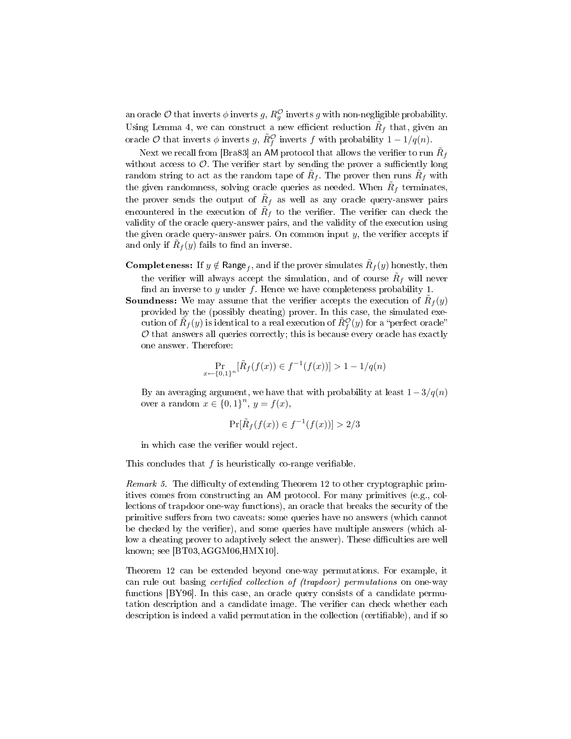an oracle  ${\cal O}$  that inverts  $\phi$  inverts  $g,$   $R_g^{\cal O}$  inverts  $g$  with non-negligible probability. Using Lemma 4, we can construct a new efficient reduction  $\tilde{R}_f$  that, given an oracle  $\mathcal O$  that inverts  $\phi$  inverts  $g, \tilde R_f^{\mathcal O}$  inverts  $f$  with probability  $1 - 1/q(n)$ .

Next we recall from [Bra83] an AM protocol that allows the verifier to run  $\tilde{R}_f$ without access to  $\mathcal O$ . The verifier start by sending the prover a sufficiently long random string to act as the random tape of  $\tilde{R}_f$ . The prover then runs  $\tilde{R}_f$  with the given randomness, solving oracle queries as needed. When  $\tilde{R}_f$  terminates, the prover sends the output of  $\tilde{R}_f$  as well as any oracle query-answer pairs encountered in the execution of  $\tilde{R_f}$  to the verifier. The verifier can check the validity of the oracle query-answer pairs, and the validity of the execution using the given oracle query-answer pairs. On common input  $y$ , the verifier accepts if and only if  $\tilde{R}_f(y)$  fails to find an inverse.

- **Completeness:** If  $y \notin \mathsf{Range}_f$ , and if the prover simulates  $\tilde{R}_f(y)$  honestly, then the verifier will always accept the simulation, and of course  $\tilde{R}_f$  will never find an inverse to  $y$  under  $f$ . Hence we have completeness probability 1.
- **Soundness:** We may assume that the verifier accepts the execution of  $\tilde{R}_f(y)$ provided by the (possibly cheating) prover. In this case, the simulated execution of  $\tilde{R}_f(y)$  is identical to a real execution of  $\tilde{R}_f^{\mathcal{O}}(y)$  for a "perfect oracle"  $O$  that answers all queries correctly; this is because every oracle has exactly one answer. Therefore:

$$
\Pr_{x \leftarrow \{0,1\}^n} [\tilde{R}_f(f(x)) \in f^{-1}(f(x))] > 1 - 1/q(n)
$$

By an averaging argument, we have that with probability at least  $1-3/q(n)$ over a random  $x \in \{0,1\}^n$ ,  $y = f(x)$ ,

$$
\Pr[\tilde{R}_f(f(x)) \in f^{-1}(f(x))] > 2/3
$$

in which case the verifier would reject.

This concludes that  $f$  is heuristically co-range verifiable.

*Remark 5.* The difficulty of extending Theorem 12 to other cryptographic primitives comes from constructing an AM protocol. For many primitives (e.g., collections of trapdoor one-way functions), an oracle that breaks the security of the primitive suffers from two caveats: some queries have no answers (which cannot be checked by the verifier), and some queries have multiple answers (which allow a cheating prover to adaptively select the answer). These difficulties are well known; see [BT03,AGGM06,HMX10].

Theorem 12 can be extended beyond one-way permutations. For example, it can rule out basing *certified collection of (trapdoor)* permutations on one-way functions [BY96]. In this case, an oracle query consists of a candidate permutation description and a candidate image. The verifier can check whether each description is indeed a valid permutation in the collection (certifiable), and if so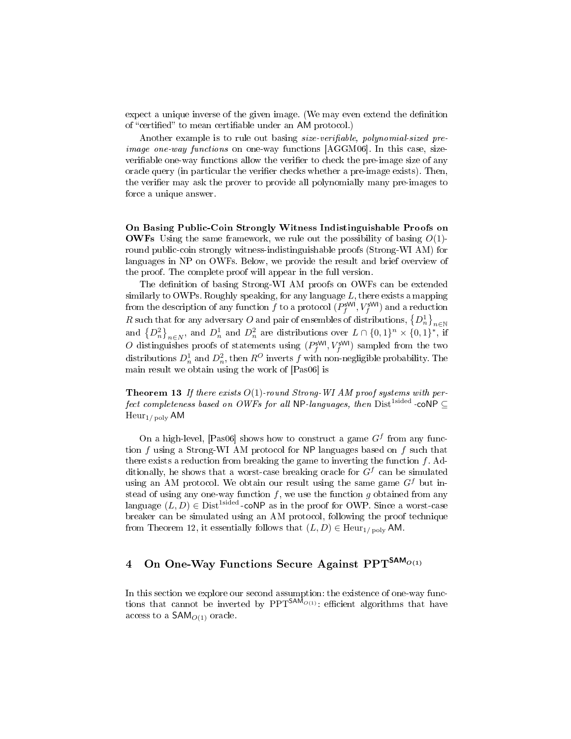expect a unique inverse of the given image. (We may even extend the definition of "certified" to mean certifiable under an AM protocol.)

Another example is to rule out basing *size-verifiable*, *polynomial-sized* preimage one-way functions on one-way functions [AGGM06]. In this case, sizeverifiable one-way functions allow the verifier to check the pre-image size of any oracle query (in particular the verifier checks whether a pre-image exists). Then, the verifier may ask the prover to provide all polynomially many pre-images to force a unique answer.

On Basing Public-Coin Strongly Witness Indistinguishable Proofs on **OWFs** Using the same framework, we rule out the possibility of basing  $O(1)$ round public-coin strongly witness-indistinguishable proofs (Strong-WI AM) for languages in NP on OWFs. Below, we provide the result and brief overview of the proof. The complete proof will appear in the full version.

The definition of basing Strong-WI AM proofs on OWFs can be extended similarly to OWPs. Roughly speaking, for any language  $L$ , there exists a mapping from the description of any function  $f$  to a protocol  $(P_f^\mathsf{sWI}, V_f^\mathsf{sWI})$  and a reduction  $R$  such that for any adversary  $O$  and pair of ensembles of distributions,  $\left\{D_n^1\right\}_{n\in\mathbb{N}}$ and  $\{D_n^2\}_{n\in\mathbb{N}}$ , and  $D_n^1$  and  $D_n^2$  are distributions over  $L \cap \{0,1\}^n \times \{0,1\}^*$ , if O distinguishes proofs of statements using  $(P_f^{\text{sWI}}, V_f^{\text{sWI}})$  sampled from the two distributions  $D_n^1$  and  $D_n^2$ , then  $R^O$  inverts  $f$  with non-negligible probability. The main result we obtain using the work of [Pas06] is

**Theorem 13** If there exists  $O(1)$ -round Strong-WI AM proof systems with perfect completeness based on OWFs for all NP-languages, then  $\mathrm{Dist}^{\mathrm{1sided}}$  -coNP  $\subseteq$  $Heur_{1/ \text{poly}}$  AM

On a high-level, [Pas06] shows how to construct a game  $G^f$  from any function f using a Strong-WI AM protocol for NP languages based on f such that there exists a reduction from breaking the game to inverting the function  $f$ . Additionally, he shows that a worst-case breaking oracle for  $G^f$  can be simulated using an AM protocol. We obtain our result using the same game  $G<sup>f</sup>$  but instead of using any one-way function  $f$ , we use the function  $q$  obtained from any language  $(L, D) \in \mathrm{Dist}^{1 \mathrm{sided}}$  -coNP as in the proof for OWP. Since a worst-case breaker can be simulated using an AM protocol, following the proof technique from Theorem 12, it essentially follows that  $(L, D) \in \text{Heur}_{1/\text{poly}}$  AM.

# 4 On One-Way Functions Secure Against  $PPT^{SAM_{O(1)}}$

In this section we explore our second assumption: the existence of one-way functions that cannot be inverted by  $PPT^{SAM_{O(1)}}$ : efficient algorithms that have access to a  $SAM<sub>O(1)</sub>$  oracle.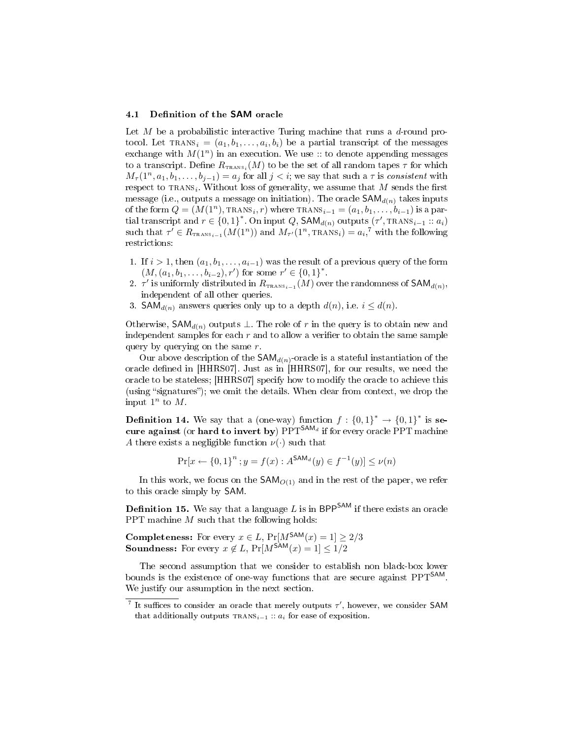#### 4.1 Definition of the SAM oracle

Let  $M$  be a probabilistic interactive Turing machine that runs a  $d$ -round protocol. Let  $\text{Trans}_i = (a_1, b_1, \ldots, a_i, b_i)$  be a partial transcript of the messages exchange with  $M(1^n)$  in an execution. We use :: to denote appending messages to a transcript. Define  $R_{\text{\tiny{TRANS}}_i}(M)$  to be the set of all random tapes  $\tau$  for which  $M_{\tau}(1^n, a_1, b_1, \ldots, b_{i-1}) = a_i$  for all  $j < i$ ; we say that such a  $\tau$  is consistent with respect to TRANS<sub>i</sub>. Without loss of generality, we assume that M sends the first message (i.e., outputs a message on initiation). The oracle  $SAM_{d(n)}$  takes inputs of the form  $Q = (M(1^n), \text{TRANS}_i, r)$  where  $\text{TRANS}_{i-1} = (a_1, b_1, \ldots, b_{i-1})$  is a partial transcript and  $r \in \{0,1\}^*$ . On input Q,  $\mathsf{SAM}_{d(n)}$  outputs  $(\tau', \text{Trans}_{i-1} :: a_i)$ such that  $\tau' \in R_{\text{Trans}_{i-1}}(M(1^n))$  and  $M_{\tau'}(1^n, \text{Trans}_i) = a_i,^7$  with the following restrictions:

- 1. If  $i > 1$ , then  $(a_1, b_1, \ldots, a_{i-1})$  was the result of a previous query of the form  $(M, (a_1, b_1, \ldots, b_{i-2}), r')$  for some  $r' \in \{0,1\}^*$ .
- 2.  $\tau'$  is uniformly distributed in  $R_{\text{Trans}_{i-1}}(M)$  over the randomness of  $\textsf{SAM}_{d(n)},$ independent of all other queries.
- 3. SAM<sub>d(n)</sub> answers queries only up to a depth  $d(n)$ , i.e.  $i \leq d(n)$ .

Otherwise,  $\mathsf{SAM}_{d(n)}$  outputs  $\perp$ . The role of r in the query is to obtain new and independent samples for each  $r$  and to allow a verifier to obtain the same sample query by querying on the same  $r$ .

Our above description of the  $\mathsf{SAM}_{d(n)}$ -oracle is a stateful instantiation of the oracle defined in [HHRS07]. Just as in [HHRS07], for our results, we need the oracle to be stateless; [HHRS07] specify how to modify the oracle to achieve this (using "signatures"); we omit the details. When clear from context, we drop the input  $1^n$  to M.

**Definition 14.** We say that a (one-way) function  $f: \{0,1\}^* \to \{0,1\}^*$  is se- $\tt{cure~against}$  (or  $\tt{hard~to~invert~by}$  )  $\tt{PPT}^{\mathsf{SAM}_d}$  if for every oracle  $\tt{PPT}$  machine A there exists a negligible function  $\nu(\cdot)$  such that

$$
\Pr[x \leftarrow \{0, 1\}^n; y = f(x) : A^{\mathsf{SAM}_d}(y) \in f^{-1}(y)] \le \nu(n)
$$

In this work, we focus on the  $SAM<sub>O(1)</sub>$  and in the rest of the paper, we refer to this oracle simply by SAM.

**Definition 15.** We say that a language L is in BPP<sup>SAM</sup> if there exists an oracle PPT machine  $M$  such that the following holds:

**Completeness:** For every  $x \in L$ ,  $Pr[M^{\text{SAM}}(x) = 1] \geq 2/3$ **Soundness:** For every  $x \notin L$ ,  $Pr[M^{\text{SAM}}(x) = 1] \leq 1/2$ 

The second assumption that we consider to establish non black-box lower bounds is the existence of one-way functions that are secure against PPT<sup>SAM</sup>. We justify our assumption in the next section.

<sup>&</sup>lt;sup>7</sup> It suffices to consider an oracle that merely outputs  $\tau'$ , however, we consider SAM that additionally outputs  $\text{trans}_{i-1} :: a_i$  for ease of exposition.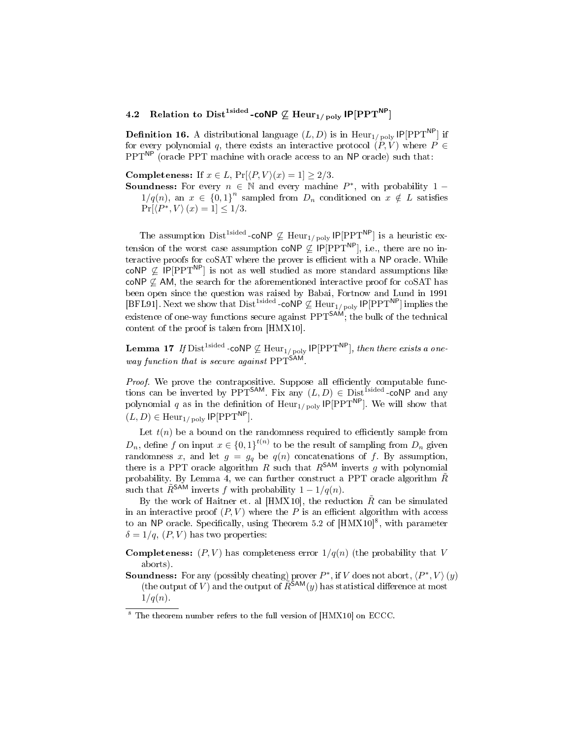# 4.2 Relation to Dist $^{1\text{sided}}$  -coNP  $\not\subseteq \text{Heur}_{1/\text{poly}}$  IP $[\text{PPT}^{\textsf{NP}}]$

**Definition 16.** A distributional language  $(L, D)$  is in  $\text{Heur}_{1/\text{poly}}$  IP[PPT<sup>NP</sup>] if for every polynomial q, there exists an interactive protocol  $(P, V)$  where  $P \in$ PPT<sup>NP</sup> (oracle PPT machine with oracle access to an NP oracle) such that:

Completeness: If  $x \in L$ ,  $Pr[\langle P, V \rangle](x) = 1] \geq 2/3$ .

**Soundness:** For every  $n \in \mathbb{N}$  and every machine  $P^*$ , with probability 1 –  $1/q(n)$ , an  $x \in \{0,1\}^n$  sampled from  $D_n$  conditioned on  $x \notin L$  satisfies  $Pr[\langle P^*, V \rangle(x) = 1] \leq 1/3.$ 

The assumption Dist<sup>1sided</sup> -coNP  $\varphi$  Heur<sub>1/poly</sub> IP[PPT<sup>NP</sup>] is a heuristic extension of the worst case assumption coNP  $\varphi$  IP[PPT<sup>NP</sup>], i.e., there are no interactive proofs for coSAT where the prover is efficient with a NP oracle. While coNP  $\varphi$  IP[PPT<sup>NP</sup>] is not as well studied as more standard assumptions like coNP  $\nsubseteq$  AM, the search for the aforementioned interactive proof for coSAT has been open since the question was raised by Babai, Fortnow and Lund in 1991 [BFL91]. Next we show that  $\mathrm{Dist}^{1\mathrm{sided}}$  -coNP  $\not\subseteq \mathrm{Heur}_{1/\mathrm{poly}}$  IP[PPT<sup>NP</sup>] implies the existence of one-way functions secure against  $PPT^{SAM}$ ; the bulk of the technical content of the proof is taken from [HMX10].

**Lemma 17** If Dist<sup>1sided</sup> -coNP  $\not\subseteq$  Heur<sub>1/poly</sub> IP[PPT<sup>NP</sup>], then there exists a oneway function that is secure against  $PPT^{SAM}$ 

*Proof.* We prove the contrapositive. Suppose all efficiently computable functions can be inverted by  $PPT^{SAM}$ . Fix any  $(L, D) \in Dist^{1sided}$ -coNP and any polynomial q as in the definition of  $\text{Heur}_{1/\text{poly}}$  IP[PPT<sup>NP</sup>]. We will show that  $(L, D) \in \text{Heur}_{1/\text{poly}}$  IP[PPT<sup>NP</sup>].

Let  $t(n)$  be a bound on the randomness required to efficiently sample from  $D_n$ , define f on input  $x \in \{0,1\}^{t(n)}$  to be the result of sampling from  $D_n$  given randomness x, and let  $g = g_q$  be  $q(n)$  concatenations of f. By assumption, there is a PPT oracle algorithm R such that  $R^{SAM}$  inverts g with polynomial probability. By Lemma 4, we can further construct a PPT oracle algorithm  $\tilde{R}$ such that  $\tilde{R}^{\text{SAM}}$  inverts f with probability  $1 - 1/q(n)$ .

By the work of Haitner et. al [HMX10], the reduction  $\tilde{R}$  can be simulated in an interactive proof  $(P, V)$  where the P is an efficient algorithm with access to an NP oracle. Specifically, using Theorem 5.2 of  $[HMX10]^{8}$ , with parameter  $\delta = 1/q$ ,  $(P, V)$  has two properties:

**Completeness:**  $(P, V)$  has completeness error  $1/q(n)$  (the probability that V aborts).

**Soundness:** For any (possibly cheating) prover  $P^*$ , if V does not abort,  $\langle P^*, V \rangle(y)$ (the output of V) and the output of  $\tilde{R}^{SAM}(y)$  has statistical difference at most  $1/q(n)$ .

 $8$  The theorem number refers to the full version of [HMX10] on ECCC.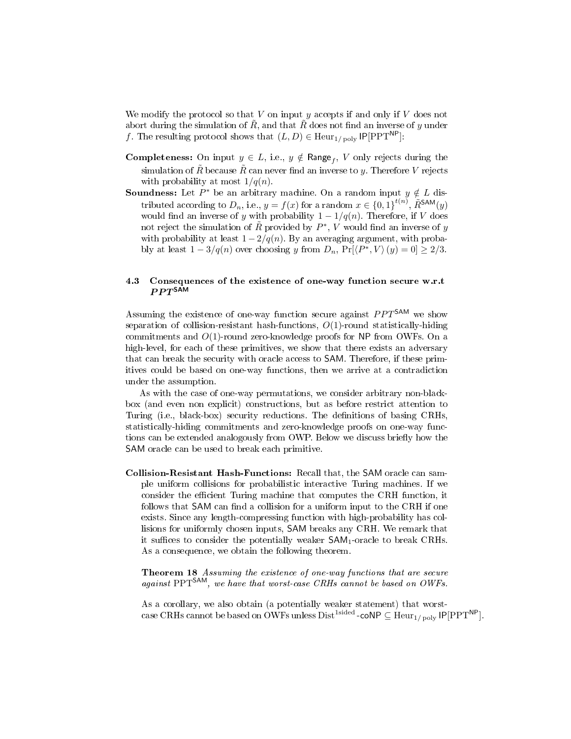We modify the protocol so that  $V$  on input  $y$  accepts if and only if  $V$  does not abort during the simulation of  $R$ , and that  $R$  does not find an inverse of y under f. The resulting protocol shows that  $(L, D) \in \text{Heur}_{1/\text{poly}} \, \text{IP}[\text{PPT}^{\text{NP}}]$ :

- **Completeness:** On input  $y \in L$ , i.e.,  $y \notin \mathsf{Range}_f$ , V only rejects during the simulation of  $\tilde{R}$  because  $\tilde{R}$  can never find an inverse to y. Therefore V rejects with probability at most  $1/q(n)$ .
- **Soundness:** Let  $P^*$  be an arbitrary machine. On a random input  $y \notin L$  distributed according to  $D_n$ , i.e.,  $y = f(x)$  for a random  $x \in \{0,1\}^{t(n)},$   $\tilde{R}^{\mathsf{SAM}}(y)$ would find an inverse of y with probability  $1 - 1/q(n)$ . Therefore, if V does not reject the simulation of  $\tilde{R}$  provided by  $P^*, V$  would find an inverse of  $y$ with probability at least  $1 - 2/q(n)$ . By an averaging argument, with probably at least  $1 - 3/q(n)$  over choosing y from  $D_n$ ,  $Pr[\langle P^*, V \rangle(y) = 0] \geq 2/3$ .

## 4.3 Consequences of the existence of one-way function secure w.r.t  $PPT^{SAM}$

Assuming the existence of one-way function secure against  $PPT^{\mathsf{SAM}}$  we show separation of collision-resistant hash-functions,  $O(1)$ -round statistically-hiding commitments and  $O(1)$ -round zero-knowledge proofs for NP from OWFs. On a high-level, for each of these primitives, we show that there exists an adversary that can break the security with oracle access to SAM. Therefore, if these primitives could be based on one-way functions, then we arrive at a contradiction under the assumption.

As with the case of one-way permutations, we consider arbitrary non-blackbox (and even non explicit) constructions, but as before restrict attention to Turing (i.e., black-box) security reductions. The definitions of basing CRHs, statistically-hiding commitments and zero-knowledge proofs on one-way functions can be extended analogously from OWP. Below we discuss briefly how the SAM oracle can be used to break each primitive.

Collision-Resistant Hash-Functions: Recall that, the SAM oracle can sample uniform collisions for probabilistic interactive Turing machines. If we consider the efficient Turing machine that computes the CRH function, it follows that SAM can find a collision for a uniform input to the CRH if one exists. Since any length-compressing function with high-probability has collisions for uniformly chosen inputs, SAM breaks any CRH. We remark that it suffices to consider the potentially weaker  $SAM_1$ -oracle to break CRHs. As a consequence, we obtain the following theorem.

Theorem 18 Assuming the existence of one-way functions that are secure against PPT<sup>SAM</sup>, we have that worst-case CRHs cannot be based on OWFs.

As a corollary, we also obtain (a potentially weaker statement) that worstcase CRHs cannot be based on OWFs unless  $Dist^{1sided}$  -coNP  $\subseteq$  Heur<sub>1/poly</sub> IP[PPT<sup>NP</sup>].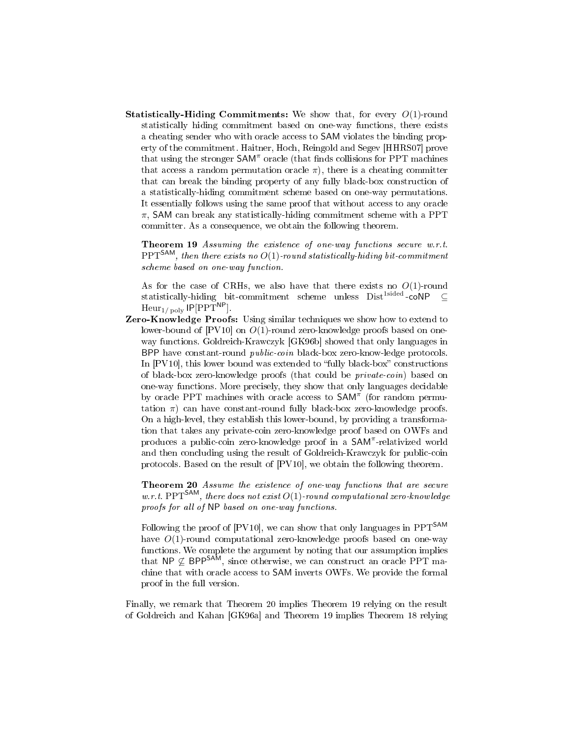**Statistically-Hiding Commitments:** We show that, for every  $O(1)$ -round statistically hiding commitment based on one-way functions, there exists a cheating sender who with oracle access to SAM violates the binding property of the commitment. Haitner, Hoch, Reingold and Segev [HHRS07] prove that using the stronger  $SAM^{\pi}$  oracle (that finds collisions for PPT machines that access a random permutation oracle  $\pi$ ), there is a cheating committer that can break the binding property of any fully black-box construction of a statistically-hiding commitment scheme based on one-way permutations. It essentially follows using the same proof that without access to any oracle  $\pi$ , SAM can break any statistically-hiding commitment scheme with a PPT committer. As a consequence, we obtain the following theorem.

Theorem 19 Assuming the existence of one-way functions secure w.r.t.  $PPT^{SAM}$ , then there exists no  $O(1)$ -round statistically-hiding bit-commitment scheme based on one-way function.

As for the case of CRHs, we also have that there exists no  $O(1)$ -round statistically-hiding bit-commitment scheme unless  $Dist^{1sided}$ -coNP  $\subseteq$  $\text{Heur}_{1/\text{poly}}$  IP[PPT<sup>NP</sup>].

Zero-Knowledge Proofs: Using similar techniques we show how to extend to lower-bound of  $[PV10]$  on  $O(1)$ -round zero-knowledge proofs based on oneway functions. Goldreich-Krawczyk [GK96b] showed that only languages in BPP have constant-round public-coin black-box zero-know-ledge protocols. In  $[PV10]$ , this lower bound was extended to "fully black-box" constructions of black-box zero-knowledge proofs (that could be private-coin) based on one-way functions. More precisely, they show that only languages decidable by oracle PPT machines with oracle access to  $SAM^{\pi}$  (for random permutation  $\pi$ ) can have constant-round fully black-box zero-knowledge proofs. On a high-level, they establish this lower-bound, by providing a transformation that takes any private-coin zero-knowledge proof based on OWFs and produces a public-coin zero-knowledge proof in a SAM<sup>T</sup>-relativized world and then concluding using the result of Goldreich-Krawczyk for public-coin protocols. Based on the result of [PV10], we obtain the following theorem.

Theorem 20 Assume the existence of one-way functions that are secure w.r.t. PPT<sup>SAM</sup>, there does not exist  $O(1)$ -round computational zero-knowledge proofs for all of NP based on one-way functions.

Following the proof of [PV10], we can show that only languages in PPTSAM have  $O(1)$ -round computational zero-knowledge proofs based on one-way functions. We complete the argument by noting that our assumption implies that  $\mathsf{NP} \not\subseteq \mathsf{BPP}^{\mathsf{SAM}},$  since otherwise, we can construct an oracle PPT machine that with oracle access to SAM inverts OWFs. We provide the formal proof in the full version.

Finally, we remark that Theorem 20 implies Theorem 19 relying on the result of Goldreich and Kahan [GK96a] and Theorem 19 implies Theorem 18 relying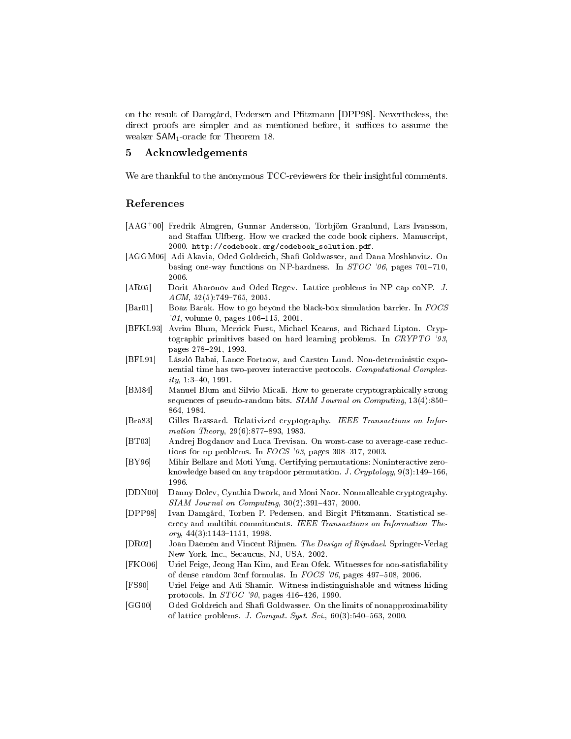on the result of Damgård, Pedersen and Pfitzmann [DPP98]. Nevertheless, the direct proofs are simpler and as mentioned before, it suffices to assume the weaker  $SAM_1$ -oracle for Theorem 18.

## 5 Acknowledgements

We are thankful to the anonymous TCC-reviewers for their insightful comments.

## References

- [AAG<sup>+</sup>00] Fredrik Almgren, Gunnar Andersson, Torbjörn Granlund, Lars Ivansson, and Staffan Ulfberg. How we cracked the code book ciphers. Manuscript, 2000. http://codebook.org/codebook\_solution.pdf.
- [AGGM06] Adi Akavia, Oded Goldreich, Shafi Goldwasser, and Dana Moshkovitz. On basing one-way functions on NP-hardness. In  $STOC$  '06, pages 701-710, 2006.
- [AR05] Dorit Aharonov and Oded Regev. Lattice problems in NP cap coNP. J.  $ACM$ ,  $52(5):749-765$ ,  $2005$ .
- [Bar01] Boaz Barak. How to go beyond the black-box simulation barrier. In FOCS  $'01$ , volume 0, pages 106-115, 2001.
- [BFKL93] Avrim Blum, Merrick Furst, Michael Kearns, and Richard Lipton. Cryptographic primitives based on hard learning problems. In CRYPTO '93, pages 278-291, 1993.
- [BFL91] László Babai, Lance Fortnow, and Carsten Lund. Non-deterministic exponential time has two-prover interactive protocols. Computational Complexity,  $1:3-40$ , 1991.
- [BM84] Manuel Blum and Silvio Micali. How to generate cryptographically strong sequences of pseudo-random bits. SIAM Journal on Computing, 13(4):850-864, 1984.
- [Bra83] Gilles Brassard. Relativized cryptography. IEEE Transactions on Information Theory,  $29(6):877-893$ , 1983.
- [BT03] Andrej Bogdanov and Luca Trevisan. On worst-case to average-case reductions for np problems. In  $FOCS$  '03, pages 308-317, 2003.
- [BY96] Mihir Bellare and Moti Yung. Certifying permutations: Noninteractive zeroknowledge based on any trapdoor permutation. J. Cryptology,  $9(3):149-166$ , 1996.
- [DDN00] Danny Dolev, Cynthia Dwork, and Moni Naor. Nonmalleable cryptography.  $SIAM\ Journal\ on\ Computing,\ 30(2):391-437,\ 2000.$
- [DPP98] Ivan Damgård, Torben P. Pedersen, and Birgit Pfitzmann. Statistical secrecy and multibit commitments. IEEE Transactions on Information Theory,  $44(3):1143-1151$ , 1998.
- [DR02] Joan Daemen and Vincent Rijmen. The Design of Rijndael. Springer-Verlag New York, Inc., Secaucus, NJ, USA, 2002.
- [FKO06] Uriel Feige, Jeong Han Kim, and Eran Ofek. Witnesses for non-satisfiability of dense random 3cnf formulas. In  $FOCS$  '06, pages 497-508, 2006.
- [FS90] Uriel Feige and Adi Shamir. Witness indistinguishable and witness hiding protocols. In  $STOC$  '90, pages 416-426, 1990.
- [GG00] Oded Goldreich and Shafi Goldwasser. On the limits of nonapproximability of lattice problems. *J. Comput. Syst. Sci.*,  $60(3):540-563$ , 2000.